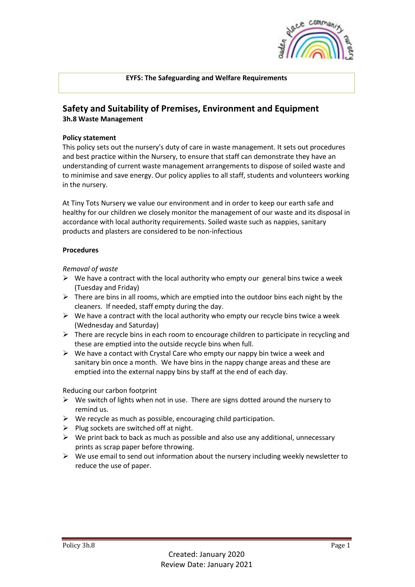

## **EYFS: The Safeguarding and Welfare Requirements**

## **Safety and Suitability of Premises, Environment and Equipment 3h.8 Waste Management**

## **Policy statement**

This policy sets out the nursery's duty of care in waste management. It sets out procedures and best practice within the Nursery, to ensure that staff can demonstrate they have an understanding of current waste management arrangements to dispose of soiled waste and to minimise and save energy. Our policy applies to all staff, students and volunteers working in the nursery.

At Tiny Tots Nursery we value our environment and in order to keep our earth safe and healthy for our children we closely monitor the management of our waste and its disposal in accordance with local authority requirements. Soiled waste such as nappies, sanitary products and plasters are considered to be non-infectious

## **Procedures**

*Removal of waste*

- $\triangleright$  We have a contract with the local authority who empty our general bins twice a week (Tuesday and Friday)
- $\triangleright$  There are bins in all rooms, which are emptied into the outdoor bins each night by the cleaners. If needed, staff empty during the day.
- $\triangleright$  We have a contract with the local authority who empty our recycle bins twice a week (Wednesday and Saturday)
- $\triangleright$  There are recycle bins in each room to encourage children to participate in recycling and these are emptied into the outside recycle bins when full.
- $\triangleright$  We have a contact with Crystal Care who empty our nappy bin twice a week and sanitary bin once a month. We have bins in the nappy change areas and these are emptied into the external nappy bins by staff at the end of each day.

Reducing our carbon footprint

- $\triangleright$  We switch of lights when not in use. There are signs dotted around the nursery to remind us.
- $\triangleright$  We recycle as much as possible, encouraging child participation.
- $\triangleright$  Plug sockets are switched off at night.
- $\triangleright$  We print back to back as much as possible and also use any additional, unnecessary prints as scrap paper before throwing.
- $\triangleright$  We use email to send out information about the nursery including weekly newsletter to reduce the use of paper.